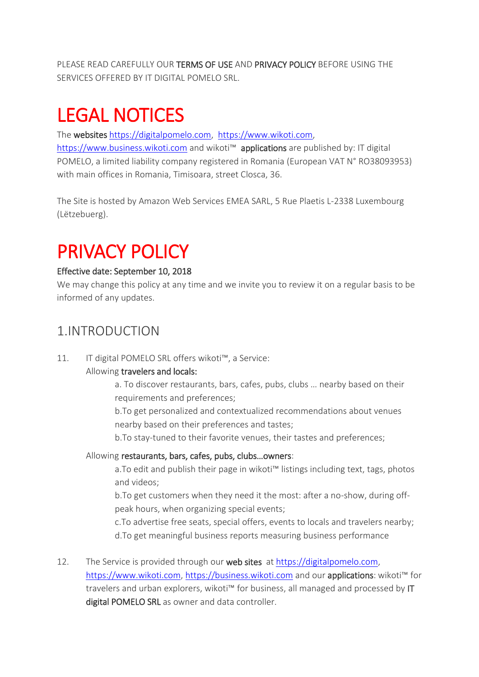PLEASE READ CAREFULLY OUR TERMS OF USE AND PRIVACY POLICY BEFORE USING THE SERVICES OFFERED BY IT DIGITAL POMELO SRL.

# LEGAL NOTICES

The websites [https://digitalpomelo.com,](https://digitalpomelo.com/) [https://www.wikoti.com,](https://www.wikoti.com/) [https://www.business.wikoti.com](https://www.business.wikoti.com/) and wikoti™ applications are published by: IT digital POMELO, a limited liability company registered in Romania (European VAT N° RO38093953) with main offices in Romania, Timisoara, street Closca, 36.

The Site is hosted by Amazon Web Services EMEA SARL, 5 Rue Plaetis L-2338 Luxembourg (Lëtzebuerg).

# PRIVACY POLICY

#### Effective date: September 10, 2018

We may change this policy at any time and we invite you to review it on a regular basis to be informed of any updates.

#### 1.INTRODUCTION

11. IT digital POMELO SRL offers wikoti™, a Service:

#### Allowing travelers and locals:

a. To discover restaurants, bars, cafes, pubs, clubs … nearby based on their requirements and preferences;

b.To get personalized and contextualized recommendations about venues nearby based on their preferences and tastes;

b.To stay-tuned to their favorite venues, their tastes and preferences;

#### Allowing restaurants, bars, cafes, pubs, clubs…owners:

a.To edit and publish their page in wikoti™ listings including text, tags, photos and videos;

b.To get customers when they need it the most: after a no-show, during offpeak hours, when organizing special events;

c.To advertise free seats, special offers, events to locals and travelers nearby; d.To get meaningful business reports measuring business performance

12. The Service is provided through our web sites at [https://digitalpomelo.com,](https://digitalpomelo.com/) https:/[/www.wikoti.com,](http://www.wikoti.com/) [https://business.wikoti.com](https://business.wikoti.com/) and our applications: wikoti™ for travelers and urban explorers, wikoti™ for business, all managed and processed by IT digital POMELO SRL as owner and data controller.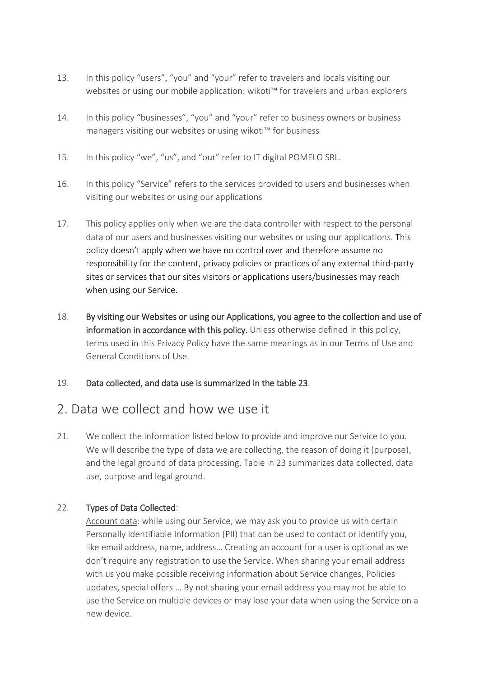- 13. In this policy "users", "you" and "your" refer to travelers and locals visiting our websites or using our mobile application: wikoti™ for travelers and urban explorers
- 14. In this policy "businesses", "you" and "your" refer to business owners or business managers visiting our websites or using wikoti™ for business
- 15. In this policy "we", "us", and "our" refer to IT digital POMELO SRL.
- 16. In this policy "Service" refers to the services provided to users and businesses when visiting our websites or using our applications
- 17. This policy applies only when we are the data controller with respect to the personal data of our users and businesses visiting our websites or using our applications. This policy doesn't apply when we have no control over and therefore assume no responsibility for the content, privacy policies or practices of any external third-party sites or services that our sites visitors or applications users/businesses may reach when using our Service.
- 18. By visiting our Websites or using our Applications, you agree to the collection and use of information in accordance with this policy. Unless otherwise defined in this policy, terms used in this Privacy Policy have the same meanings as in our Terms of Use and General Conditions of Use.
- 19. Data collected, and data use is summarized in the table 23.

#### 2. Data we collect and how we use it

21. We collect the information listed below to provide and improve our Service to you. We will describe the type of data we are collecting, the reason of doing it (purpose), and the legal ground of data processing. Table in 23 summarizes data collected, data use, purpose and legal ground.

#### 22. Types of Data Collected:

Account data: while using our Service, we may ask you to provide us with certain Personally Identifiable Information (PII) that can be used to contact or identify you, like email address, name, address… Creating an account for a user is optional as we don't require any registration to use the Service. When sharing your email address with us you make possible receiving information about Service changes, Policies updates, special offers … By not sharing your email address you may not be able to use the Service on multiple devices or may lose your data when using the Service on a new device.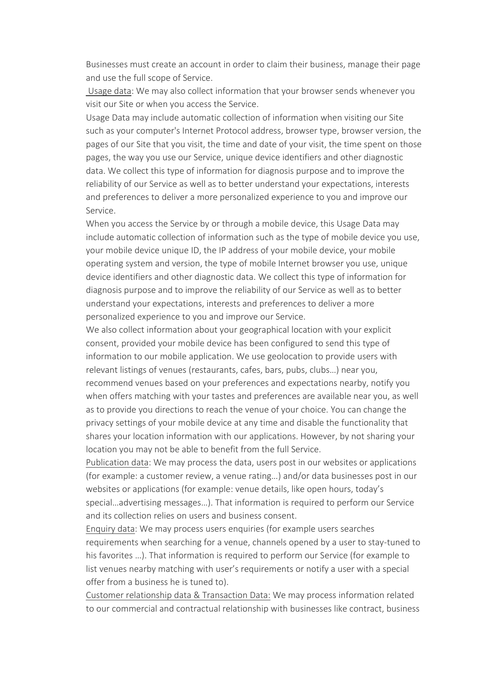Businesses must create an account in order to claim their business, manage their page and use the full scope of Service.

Usage data: We may also collect information that your browser sends whenever you visit our Site or when you access the Service.

Usage Data may include automatic collection of information when visiting our Site such as your computer's Internet Protocol address, browser type, browser version, the pages of our Site that you visit, the time and date of your visit, the time spent on those pages, the way you use our Service, unique device identifiers and other diagnostic data. We collect this type of information for diagnosis purpose and to improve the reliability of our Service as well as to better understand your expectations, interests and preferences to deliver a more personalized experience to you and improve our Service.

When you access the Service by or through a mobile device, this Usage Data may include automatic collection of information such as the type of mobile device you use, your mobile device unique ID, the IP address of your mobile device, your mobile operating system and version, the type of mobile Internet browser you use, unique device identifiers and other diagnostic data. We collect this type of information for diagnosis purpose and to improve the reliability of our Service as well as to better understand your expectations, interests and preferences to deliver a more personalized experience to you and improve our Service.

We also collect information about your geographical location with your explicit consent, provided your mobile device has been configured to send this type of information to our mobile application. We use geolocation to provide users with relevant listings of venues (restaurants, cafes, bars, pubs, clubs…) near you, recommend venues based on your preferences and expectations nearby, notify you when offers matching with your tastes and preferences are available near you, as well as to provide you directions to reach the venue of your choice. You can change the privacy settings of your mobile device at any time and disable the functionality that shares your location information with our applications. However, by not sharing your location you may not be able to benefit from the full Service.

Publication data: We may process the data, users post in our websites or applications (for example: a customer review, a venue rating…) and/or data businesses post in our websites or applications (for example: venue details, like open hours, today's special…advertising messages…). That information is required to perform our Service and its collection relies on users and business consent.

Enquiry data: We may process users enquiries (for example users searches requirements when searching for a venue, channels opened by a user to stay-tuned to his favorites …). That information is required to perform our Service (for example to list venues nearby matching with user's requirements or notify a user with a special offer from a business he is tuned to).

Customer relationship data & Transaction Data: We may process information related to our commercial and contractual relationship with businesses like contract, business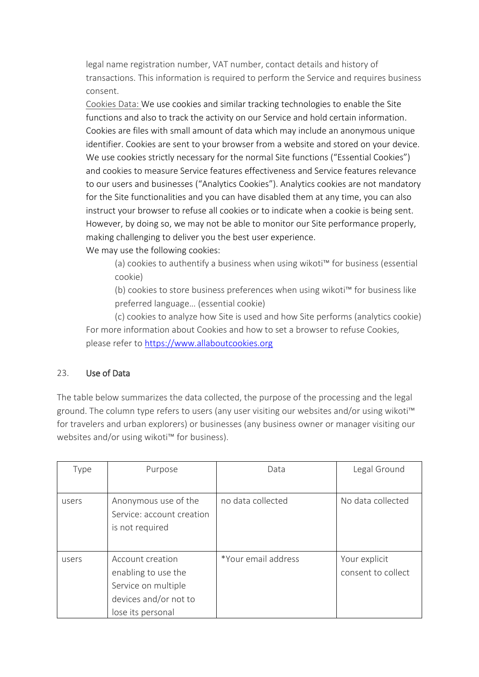legal name registration number, VAT number, contact details and history of transactions. This information is required to perform the Service and requires business consent.

Cookies Data: We use cookies and similar tracking technologies to enable the Site functions and also to track the activity on our Service and hold certain information. Cookies are files with small amount of data which may include an anonymous unique identifier. Cookies are sent to your browser from a website and stored on your device. We use cookies strictly necessary for the normal Site functions ("Essential Cookies") and cookies to measure Service features effectiveness and Service features relevance to our users and businesses ("Analytics Cookies"). Analytics cookies are not mandatory for the Site functionalities and you can have disabled them at any time, you can also instruct your browser to refuse all cookies or to indicate when a cookie is being sent. However, by doing so, we may not be able to monitor our Site performance properly, making challenging to deliver you the best user experience.

We may use the following cookies:

(a) cookies to authentify a business when using wikoti™ for business (essential cookie)

(b) cookies to store business preferences when using wikoti™ for business like preferred language… (essential cookie)

(c) cookies to analyze how Site is used and how Site performs (analytics cookie) For more information about Cookies and how to set a browser to refuse Cookies, please refer to [https://www.allaboutcookies.org](https://www.allaboutcookies.org/)

#### 23. Use of Data

The table below summarizes the data collected, the purpose of the processing and the legal ground. The column type refers to users (any user visiting our websites and/or using wikoti<sup>™</sup> for travelers and urban explorers) or businesses (any business owner or manager visiting our websites and/or using wikoti™ for business).

| Type  | Purpose                                                                                                      | Data                | Legal Ground                        |
|-------|--------------------------------------------------------------------------------------------------------------|---------------------|-------------------------------------|
|       |                                                                                                              |                     |                                     |
| users | Anonymous use of the<br>Service: account creation<br>is not required                                         | no data collected   | No data collected                   |
| users | Account creation<br>enabling to use the<br>Service on multiple<br>devices and/or not to<br>lose its personal | *Your email address | Your explicit<br>consent to collect |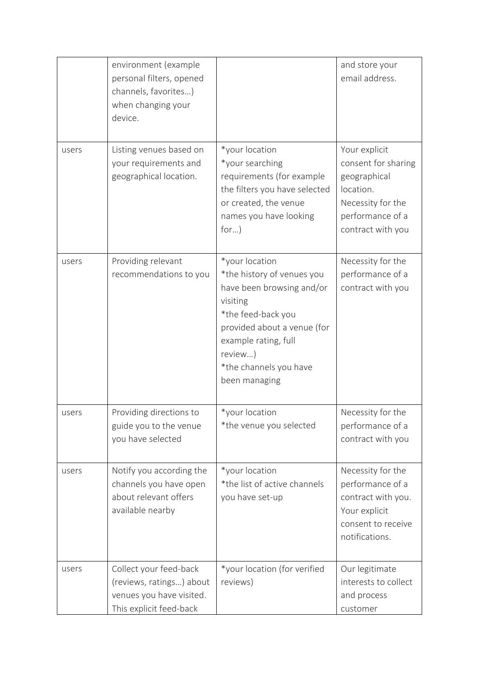|       | environment (example<br>personal filters, opened<br>channels, favorites)<br>when changing your<br>device. |                                                                                                                                                                                                                          | and store your<br>email address.                                                                                                |
|-------|-----------------------------------------------------------------------------------------------------------|--------------------------------------------------------------------------------------------------------------------------------------------------------------------------------------------------------------------------|---------------------------------------------------------------------------------------------------------------------------------|
| users | Listing venues based on<br>your requirements and<br>geographical location.                                | *your location<br>*your searching<br>requirements (for example<br>the filters you have selected<br>or created, the venue<br>names you have looking<br>$for$ )                                                            | Your explicit<br>consent for sharing<br>geographical<br>location.<br>Necessity for the<br>performance of a<br>contract with you |
| users | Providing relevant<br>recommendations to you                                                              | *your location<br>*the history of venues you<br>have been browsing and/or<br>visiting<br>*the feed-back you<br>provided about a venue (for<br>example rating, full<br>review)<br>*the channels you have<br>been managing | Necessity for the<br>performance of a<br>contract with you                                                                      |
| users | Providing directions to<br>guide you to the venue<br>you have selected                                    | *your location<br>*the venue you selected                                                                                                                                                                                | Necessity for the<br>performance of a<br>contract with you                                                                      |
| users | Notify you according the<br>channels you have open<br>about relevant offers<br>available nearby           | *your location<br>*the list of active channels<br>you have set-up                                                                                                                                                        | Necessity for the<br>performance of a<br>contract with you.<br>Your explicit<br>consent to receive<br>notifications.            |
| users | Collect your feed-back<br>(reviews, ratings) about<br>venues you have visited.<br>This explicit feed-back | *your location (for verified<br>reviews)                                                                                                                                                                                 | Our legitimate<br>interests to collect<br>and process<br>customer                                                               |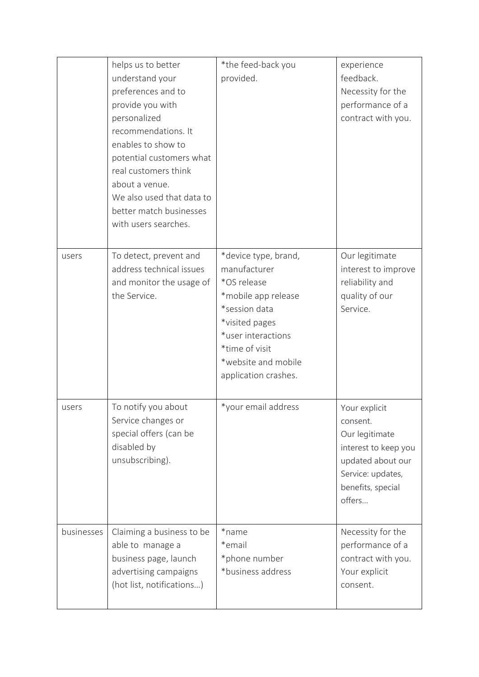|            | helps us to better<br>understand your<br>preferences and to<br>provide you with<br>personalized<br>recommendations. It<br>enables to show to<br>potential customers what<br>real customers think<br>about a venue.<br>We also used that data to<br>better match businesses<br>with users searches. | *the feed-back you<br>provided.                                                                                                                                                                      | experience<br>feedback.<br>Necessity for the<br>performance of a<br>contract with you.                                                       |
|------------|----------------------------------------------------------------------------------------------------------------------------------------------------------------------------------------------------------------------------------------------------------------------------------------------------|------------------------------------------------------------------------------------------------------------------------------------------------------------------------------------------------------|----------------------------------------------------------------------------------------------------------------------------------------------|
| users      | To detect, prevent and<br>address technical issues<br>and monitor the usage of<br>the Service.                                                                                                                                                                                                     | *device type, brand,<br>manufacturer<br>*OS release<br>*mobile app release<br>*session data<br>*visited pages<br>*user interactions<br>*time of visit<br>*website and mobile<br>application crashes. | Our legitimate<br>interest to improve<br>reliability and<br>quality of our<br>Service.                                                       |
| users      | To notify you about<br>Service changes or<br>special offers (can be<br>disabled by<br>unsubscribing).                                                                                                                                                                                              | *your email address                                                                                                                                                                                  | Your explicit<br>consent.<br>Our legitimate<br>interest to keep you<br>updated about our<br>Service: updates,<br>benefits, special<br>offers |
| businesses | Claiming a business to be<br>able to manage a<br>business page, launch<br>advertising campaigns<br>(hot list, notifications)                                                                                                                                                                       | *name<br>*email<br>*phone number<br>*business address                                                                                                                                                | Necessity for the<br>performance of a<br>contract with you.<br>Your explicit<br>consent.                                                     |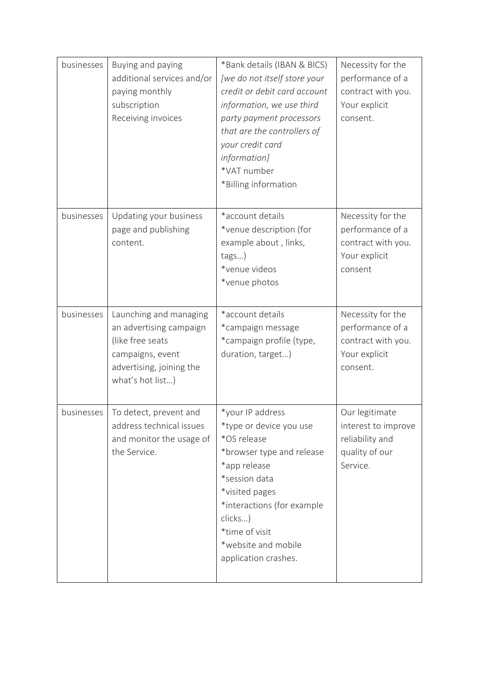| businesses | Buying and paying<br>additional services and/or<br>paying monthly<br>subscription<br>Receiving invoices                                   | *Bank details (IBAN & BICS)<br>[we do not itself store your<br>credit or debit card account<br>information, we use third<br>party payment processors<br>that are the controllers of<br>your credit card<br>information]<br>*VAT number<br>*Billing information | Necessity for the<br>performance of a<br>contract with you.<br>Your explicit<br>consent. |
|------------|-------------------------------------------------------------------------------------------------------------------------------------------|----------------------------------------------------------------------------------------------------------------------------------------------------------------------------------------------------------------------------------------------------------------|------------------------------------------------------------------------------------------|
| businesses | Updating your business<br>page and publishing<br>content.                                                                                 | *account details<br>*venue description (for<br>example about, links,<br>tags)<br>*venue videos<br>*venue photos                                                                                                                                                | Necessity for the<br>performance of a<br>contract with you.<br>Your explicit<br>consent  |
| businesses | Launching and managing<br>an advertising campaign<br>(like free seats<br>campaigns, event<br>advertising, joining the<br>what's hot list) | *account details<br>*campaign message<br>*campaign profile (type,<br>duration, target)                                                                                                                                                                         | Necessity for the<br>performance of a<br>contract with you.<br>Your explicit<br>consent. |
|            | businesses   To detect, prevent and<br>address technical issues<br>and monitor the usage of<br>the Service.                               | *your IP address<br>*type or device you use<br>*OS release<br>*browser type and release<br>*app release<br>*session data<br>*visited pages<br>*interactions (for example<br>clicks)<br>*time of visit<br>*website and mobile<br>application crashes.           | Our legitimate<br>interest to improve<br>reliability and<br>quality of our<br>Service.   |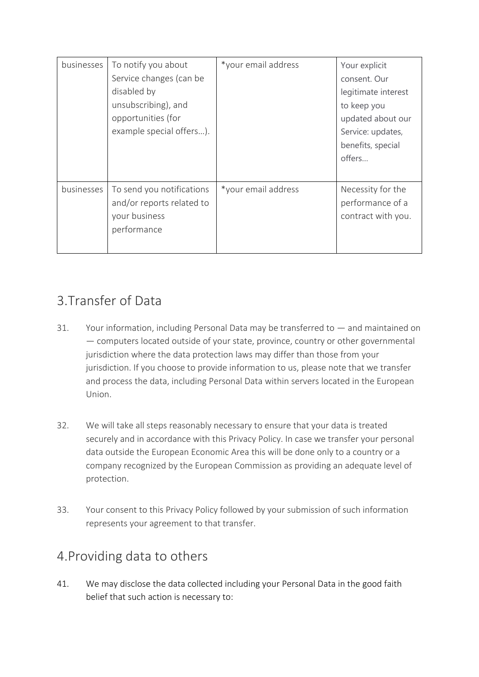| businesses | To notify you about<br>Service changes (can be<br>disabled by<br>unsubscribing), and<br>opportunities (for<br>example special offers). | *your email address | Your explicit<br>consent. Our<br>legitimate interest<br>to keep you<br>updated about our<br>Service: updates,<br>benefits, special<br>offers |
|------------|----------------------------------------------------------------------------------------------------------------------------------------|---------------------|----------------------------------------------------------------------------------------------------------------------------------------------|
| businesses | To send you notifications<br>and/or reports related to<br>your business<br>performance                                                 | *your email address | Necessity for the<br>performance of a<br>contract with you.                                                                                  |

## 3.Transfer of Data

- 31. Your information, including Personal Data may be transferred to and maintained on — computers located outside of your state, province, country or other governmental jurisdiction where the data protection laws may differ than those from your jurisdiction. If you choose to provide information to us, please note that we transfer and process the data, including Personal Data within servers located in the European Union.
- 32. We will take all steps reasonably necessary to ensure that your data is treated securely and in accordance with this Privacy Policy. In case we transfer your personal data outside the European Economic Area this will be done only to a country or a company recognized by the European Commission as providing an adequate level of protection.
- 33. Your consent to this Privacy Policy followed by your submission of such information represents your agreement to that transfer.

## 4.Providing data to others

41. We may disclose the data collected including your Personal Data in the good faith belief that such action is necessary to: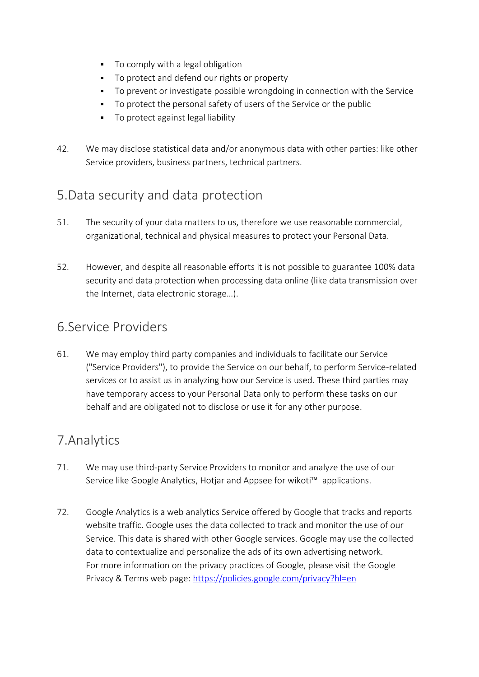- To comply with a legal obligation
- To protect and defend our rights or property
- To prevent or investigate possible wrongdoing in connection with the Service
- To protect the personal safety of users of the Service or the public
- To protect against legal liability
- 42. We may disclose statistical data and/or anonymous data with other parties: like other Service providers, business partners, technical partners.

#### 5.Data security and data protection

- 51. The security of your data matters to us, therefore we use reasonable commercial, organizational, technical and physical measures to protect your Personal Data.
- 52. However, and despite all reasonable efforts it is not possible to guarantee 100% data security and data protection when processing data online (like data transmission over the Internet, data electronic storage…).

#### 6.Service Providers

61. We may employ third party companies and individuals to facilitate our Service ("Service Providers"), to provide the Service on our behalf, to perform Service-related services or to assist us in analyzing how our Service is used. These third parties may have temporary access to your Personal Data only to perform these tasks on our behalf and are obligated not to disclose or use it for any other purpose.

## 7.Analytics

- 71. We may use third-party Service Providers to monitor and analyze the use of our Service like Google Analytics, Hotiar and Appsee for wikoti™ applications.
- 72. Google Analytics is a web analytics Service offered by Google that tracks and reports website traffic. Google uses the data collected to track and monitor the use of our Service. This data is shared with other Google services. Google may use the collected data to contextualize and personalize the ads of its own advertising network. For more information on the privacy practices of Google, please visit the Google Privacy & Terms web page: <https://policies.google.com/privacy?hl=en>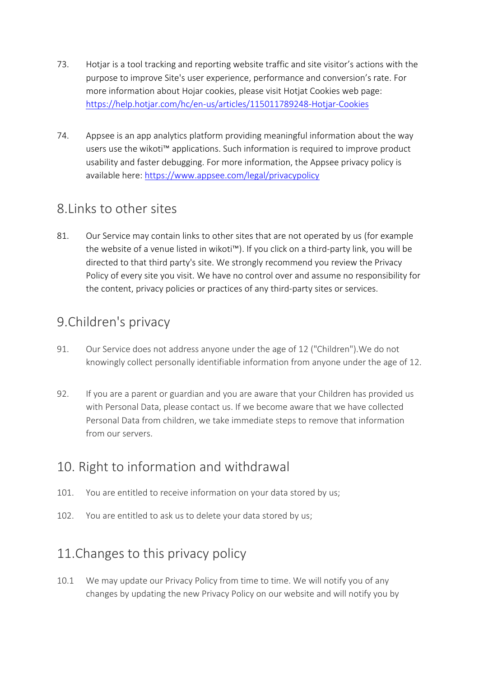- 73. Hotjar is a tool tracking and reporting website traffic and site visitor's actions with the purpose to improve Site's user experience, performance and conversion's rate. For more information about Hojar cookies, please visit Hotjat Cookies web page: <https://help.hotjar.com/hc/en-us/articles/115011789248-Hotjar-Cookies>
- 74. Appsee is an app analytics platform providing meaningful information about the way users use the wikoti™ applications. Such information is required to improve product usability and faster debugging. For more information, the Appsee privacy policy is available here:<https://www.appsee.com/legal/privacypolicy>

#### 8.Links to other sites

81. Our Service may contain links to other sites that are not operated by us (for example the website of a venue listed in wikoti™). If you click on a third-party link, you will be directed to that third party's site. We strongly recommend you review the Privacy Policy of every site you visit. We have no control over and assume no responsibility for the content, privacy policies or practices of any third-party sites or services.

## 9.Children's privacy

- 91. Our Service does not address anyone under the age of 12 ("Children").We do not knowingly collect personally identifiable information from anyone under the age of 12.
- 92. If you are a parent or guardian and you are aware that your Children has provided us with Personal Data, please contact us. If we become aware that we have collected Personal Data from children, we take immediate steps to remove that information from our servers.

## 10. Right to information and withdrawal

- 101. You are entitled to receive information on your data stored by us;
- 102. You are entitled to ask us to delete your data stored by us;

## 11.Changes to this privacy policy

10.1 We may update our Privacy Policy from time to time. We will notify you of any changes by updating the new Privacy Policy on our website and will notify you by